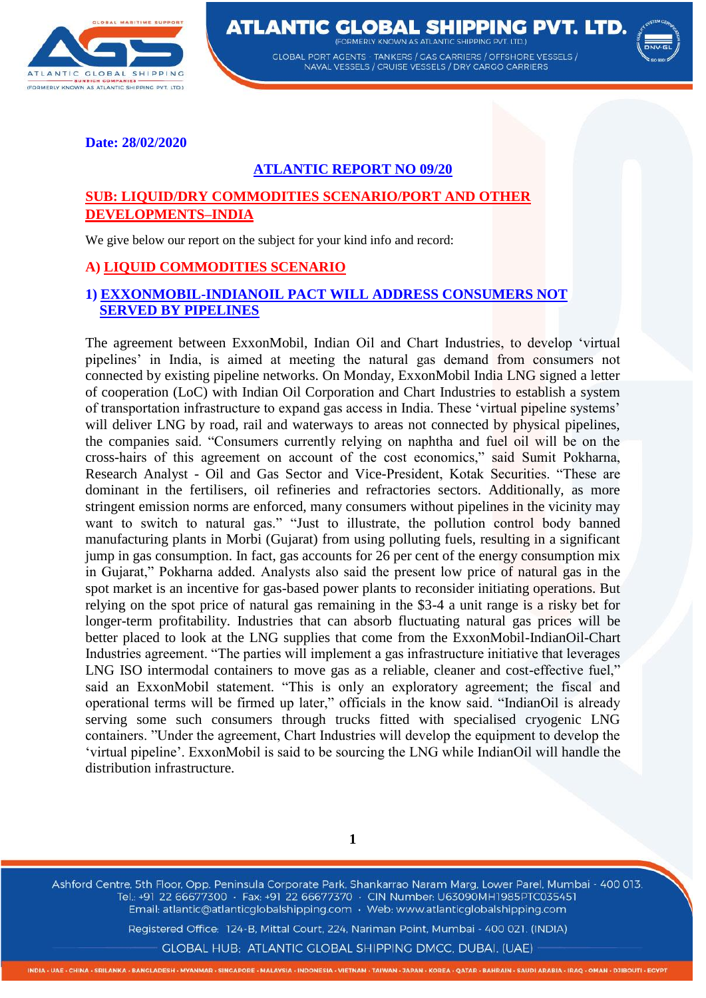

**ATLANTIC GLOBAL SHIPPING PVT. LTD. EODMEDIV KNOWN AS ATLANTIC SHIDDING DVT** 

> **GLOBAL PORT AGENTS - TANKERS / GAS CARRIERS / OFFSHORE VESSELS /** NAVAL VESSELS / CRUISE VESSELS / DRY CARGO CARRIERS



**Date: 28/02/2020** 

## **ATLANTIC REPORT NO 09/20**

### **SUB: LIQUID/DRY COMMODITIES SCENARIO/PORT AND OTHER DEVELOPMENTS–INDIA**

We give below our report on the subject for your kind info and record:

### **A) LIQUID COMMODITIES SCENARIO**

#### **1) EXXONMOBIL-INDIANOIL PACT WILL ADDRESS CONSUMERS NOT SERVED BY PIPELINES**

The agreement between ExxonMobil, Indian Oil and Chart Industries, to develop 'virtual pipelines' in India, is aimed at meeting the natural gas demand from consumers not connected by existing pipeline networks. On Monday, ExxonMobil India LNG signed a letter of cooperation (LoC) with Indian Oil Corporation and Chart Industries to establish a system of transportation infrastructure to expand gas access in India. These 'virtual pipeline systems' will deliver LNG by road, rail and waterways to areas not connected by physical pipelines, the companies said. "Consumers currently relying on naphtha and fuel oil will be on the cross-hairs of this agreement on account of the cost economics," said Sumit Pokharna, Research Analyst - Oil and Gas Sector and Vice-President, Kotak Securities. "These are dominant in the fertilisers, oil refineries and refractories sectors. Additionally, as more stringent emission norms are enforced, many consumers without pipelines in the vicinity may want to switch to natural gas." "Just to illustrate, the pollution control body banned manufacturing plants in Morbi (Gujarat) from using polluting fuels, resulting in a significant jump in gas consumption. In fact, gas accounts for 26 per cent of the energy consumption mix in Gujarat," Pokharna added. Analysts also said the present low price of natural gas in the spot market is an incentive for gas-based power plants to reconsider initiating operations. But relying on the spot price of natural gas remaining in the \$3-4 a unit range is a risky bet for longer-term profitability. Industries that can absorb fluctuating natural gas prices will be better placed to look at the LNG supplies that come from the ExxonMobil-IndianOil-Chart Industries agreement. "The parties will implement a gas infrastructure initiative that leverages LNG ISO intermodal containers to move gas as a reliable, cleaner and cost-effective fuel," said an ExxonMobil statement. "This is only an exploratory agreement; the fiscal and operational terms will be firmed up later," officials in the know said. "IndianOil is already serving some such consumers through trucks fitted with specialised cryogenic LNG containers. "Under the agreement, Chart Industries will develop the equipment to develop the 'virtual pipeline'. ExxonMobil is said to be sourcing the LNG while IndianOil will handle the distribution infrastructure.

**1**

Ashford Centre, 5th Floor, Opp. Peninsula Corporate Park, Shankarrao Naram Marg, Lower Parel, Mumbai - 400 013. Tel.: +91 22 66677300 · Fax: +91 22 66677370 · CIN Number: U63090MH1985PTC035451 Email: atlantic@atlanticglobalshipping.com · Web: www.atlanticglobalshipping.com

Registered Office: 124-B, Mittal Court, 224, Nariman Point, Mumbai - 400 021. (INDIA)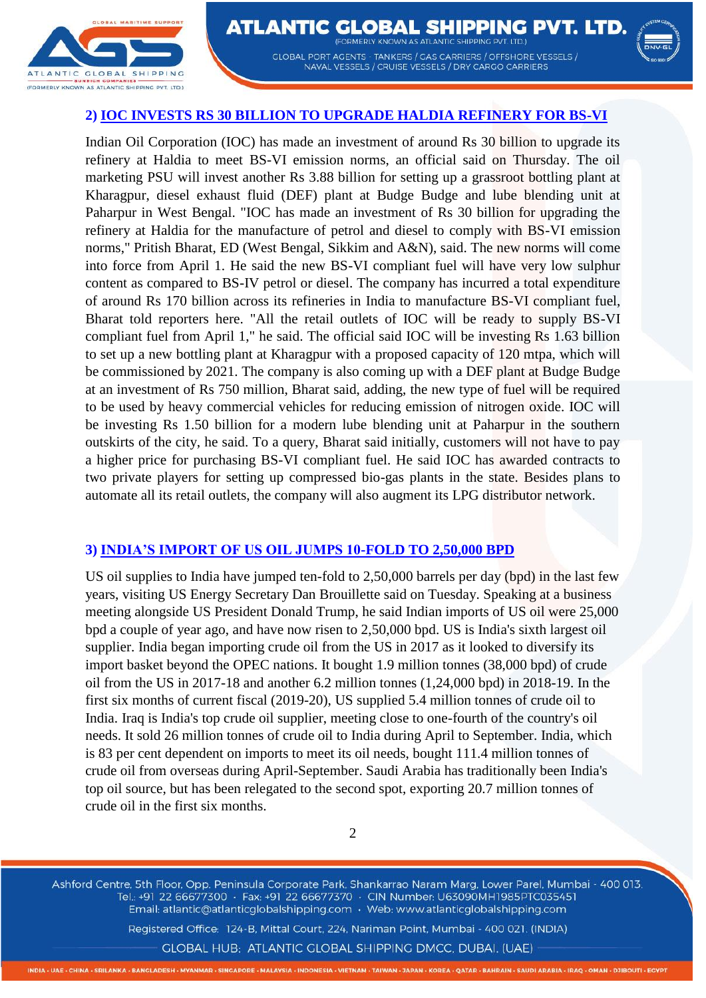



# **2) IOC INVESTS RS 30 BILLION TO UPGRADE HALDIA REFINERY FOR BS-VI**

Indian Oil Corporation (IOC) has made an investment of around Rs 30 billion to upgrade its refinery at Haldia to meet BS-VI emission norms, an official said on Thursday. The oil marketing PSU will invest another Rs 3.88 billion for setting up a grassroot bottling plant at Kharagpur, diesel exhaust fluid (DEF) plant at Budge Budge and lube blending unit at Paharpur in West Bengal. "IOC has made an investment of Rs 30 billion for upgrading the refinery at Haldia for the manufacture of petrol and diesel to comply with BS-VI emission norms," Pritish Bharat, ED (West Bengal, Sikkim and A&N), said. The new norms will come into force from April 1. He said the new BS-VI compliant fuel will have very low sulphur content as compared to BS-IV petrol or diesel. The company has incurred a total expenditure of around Rs 170 billion across its refineries in India to manufacture BS-VI compliant fuel, Bharat told reporters here. "All the retail outlets of IOC will be ready to supply BS-VI compliant fuel from April 1," he said. The official said IOC will be investing Rs 1.63 billion to set up a new bottling plant at Kharagpur with a proposed capacity of 120 mtpa, which will be commissioned by 2021. The company is also coming up with a DEF plant at Budge Budge at an investment of Rs 750 million, Bharat said, adding, the new type of fuel will be required to be used by heavy commercial vehicles for reducing emission of nitrogen oxide. IOC will be investing Rs 1.50 billion for a modern lube blending unit at Paharpur in the southern outskirts of the city, he said. To a query, Bharat said initially, customers will not have to pay a higher price for purchasing BS-VI compliant fuel. He said IOC has awarded contracts to two private players for setting up compressed bio-gas plants in the state. Besides plans to automate all its retail outlets, the company will also augment its LPG distributor network.

## **3) INDIA'S IMPORT OF US OIL JUMPS 10-FOLD TO 2,50,000 BPD**

US oil supplies to India have jumped ten-fold to 2,50,000 barrels per day (bpd) in the last few years, visiting US Energy Secretary Dan Brouillette said on Tuesday. Speaking at a business meeting alongside US President Donald Trump, he said Indian imports of US oil were 25,000 bpd a couple of year ago, and have now risen to 2,50,000 bpd. US is India's sixth largest oil supplier. India began importing crude oil from the US in 2017 as it looked to diversify its import basket beyond the OPEC nations. It bought 1.9 million tonnes (38,000 bpd) of crude oil from the US in 2017-18 and another 6.2 million tonnes (1,24,000 bpd) in 2018-19. In the first six months of current fiscal (2019-20), US supplied 5.4 million tonnes of crude oil to India. Iraq is India's top crude oil supplier, meeting close to one-fourth of the country's oil needs. It sold 26 million tonnes of crude oil to India during April to September. India, which is 83 per cent dependent on imports to meet its oil needs, bought 111.4 million tonnes of crude oil from overseas during April-September. Saudi Arabia has traditionally been India's top oil source, but has been relegated to the second spot, exporting 20.7 million tonnes of crude oil in the first six months.

2

Ashford Centre, 5th Floor, Opp. Peninsula Corporate Park, Shankarrao Naram Marg, Lower Parel, Mumbai - 400 013. Tel.: +91 22 66677300 · Fax: +91 22 66677370 · CIN Number: U63090MH1985PTC035451 Email: atlantic@atlanticglobalshipping.com · Web: www.atlanticglobalshipping.com

Registered Office: 124-B, Mittal Court, 224, Nariman Point, Mumbai - 400 021. (INDIA) GLOBAL HUB: ATLANTIC GLOBAL SHIPPING DMCC, DUBAI. (UAE)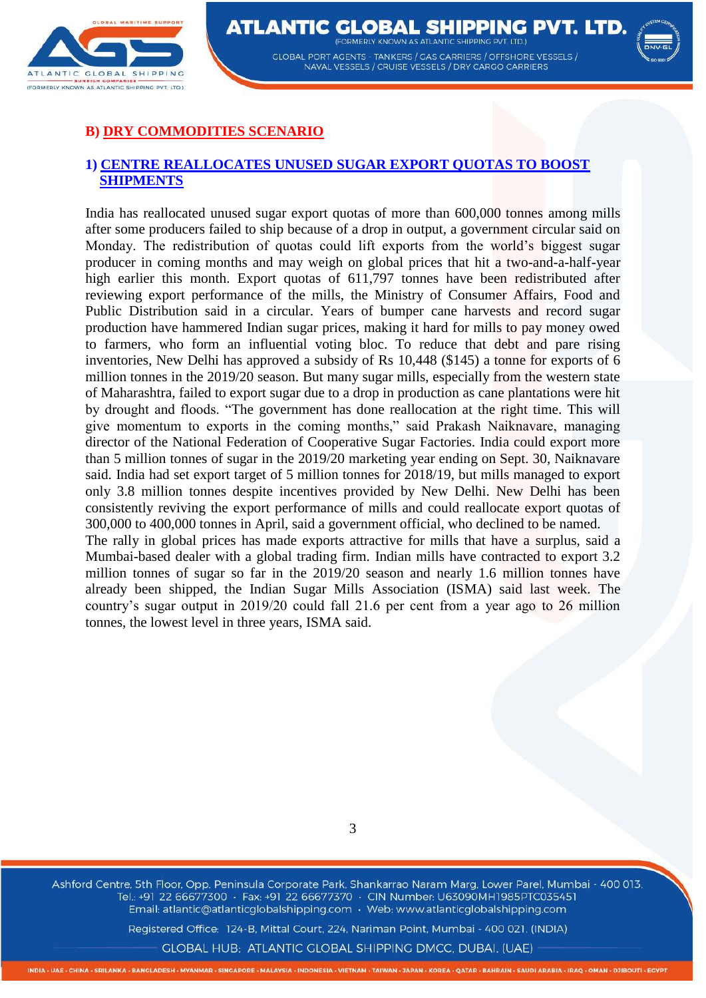



# **B) DRY COMMODITIES SCENARIO**

tonnes, the lowest level in three years, ISMA said.

#### **1) CENTRE REALLOCATES UNUSED SUGAR EXPORT QUOTAS TO BOOST SHIPMENTS**

India has reallocated unused sugar export quotas of more than 600,000 tonnes among mills after some producers failed to ship because of a drop in output, a government circular said on Monday. The redistribution of quotas could lift exports from the world's biggest sugar producer in coming months and may weigh on global prices that hit a two-and-a-half-year high earlier this month. Export quotas of 611,797 tonnes have been redistributed after reviewing export performance of the mills, the Ministry of Consumer Affairs, Food and Public Distribution said in a circular. Years of bumper cane harvests and record sugar production have hammered Indian sugar prices, making it hard for mills to pay money owed to farmers, who form an influential voting bloc. To reduce that debt and pare rising inventories, New Delhi has approved a subsidy of Rs 10,448 (\$145) a tonne for exports of 6 million tonnes in the 2019/20 season. But many sugar mills, especially from the western state of Maharashtra, failed to export sugar due to a drop in production as cane plantations were hit by drought and floods. "The government has done reallocation at the right time. This will give momentum to exports in the coming months," said Prakash Naiknavare, managing director of the National Federation of Cooperative Sugar Factories. India could export more than 5 million tonnes of sugar in the 2019/20 marketing year ending on Sept. 30, Naiknavare said. India had set export target of 5 million tonnes for 2018/19, but mills managed to export only 3.8 million tonnes despite incentives provided by New Delhi. New Delhi has been consistently reviving the export performance of mills and could reallocate export quotas of 300,000 to 400,000 tonnes in April, said a government official, who declined to be named. The rally in global prices has made exports attractive for mills that have a surplus, said a Mumbai-based dealer with a global trading firm. Indian mills have contracted to export 3.2 million tonnes of sugar so far in the 2019/20 season and nearly 1.6 million tonnes have already been shipped, the Indian Sugar Mills Association (ISMA) said last week. The country's sugar output in 2019/20 could fall 21.6 per cent from a year ago to 26 million

Ashford Centre, 5th Floor, Opp. Peninsula Corporate Park, Shankarrao Naram Marg, Lower Parel, Mumbai - 400 013. Tel.: +91 22 66677300 · Fax: +91 22 66677370 · CIN Number: U63090MH1985PTC035451 Email: atlantic@atlanticglobalshipping.com · Web: www.atlanticglobalshipping.com

Registered Office: 124-B, Mittal Court, 224, Nariman Point, Mumbai - 400 021. (INDIA)

GLOBAL HUB: ATLANTIC GLOBAL SHIPPING DMCC, DUBAI. (UAE)

3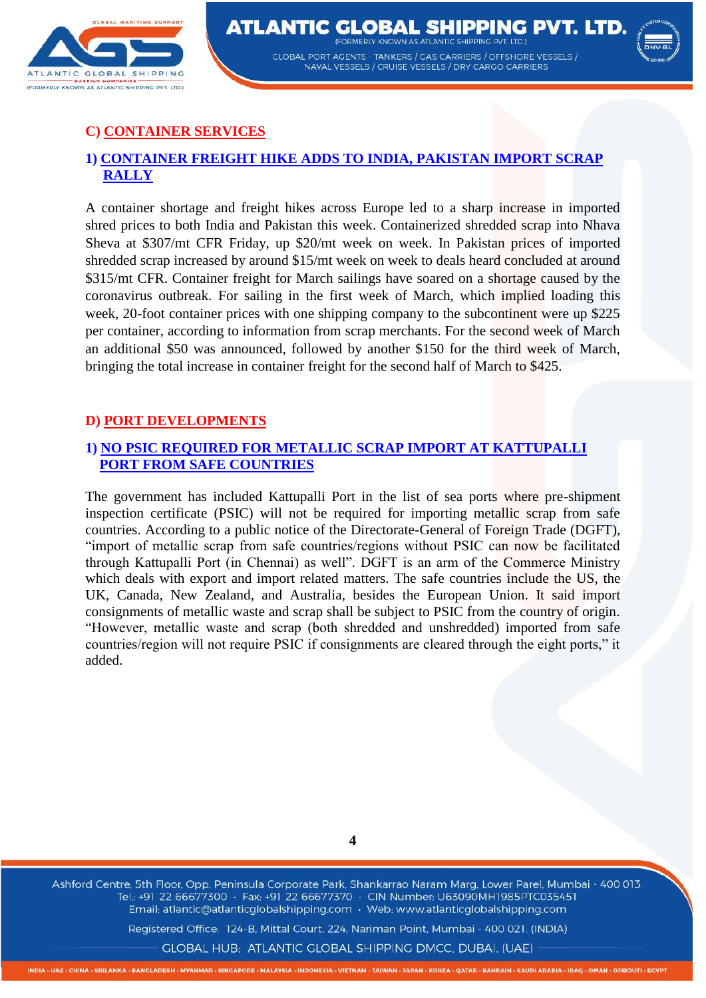



# **C) CONTAINER SERVICES**

# **1) CONTAINER FREIGHT HIKE ADDS TO INDIA, PAKISTAN IMPORT SCRAP RALLY**

A container shortage and freight hikes across Europe led to a sharp increase in imported shred prices to both India and Pakistan this week. Containerized shredded scrap into Nhava Sheva at \$307/mt CFR Friday, up \$20/mt week on week. In Pakistan prices of imported shredded scrap increased by around \$15/mt week on week to deals heard concluded at around \$315/mt CFR. Container freight for March sailings have soared on a shortage caused by the coronavirus outbreak. For sailing in the first week of March, which implied loading this week, 20-foot container prices with one shipping company to the subcontinent were up \$225 per container, according to information from scrap merchants. For the second week of March an additional \$50 was announced, followed by another \$150 for the third week of March, bringing the total increase in container freight for the second half of March to \$425.

## **D) PORT DEVELOPMENTS**

## **1) NO PSIC REQUIRED FOR METALLIC SCRAP IMPORT AT KATTUPALLI PORT FROM SAFE COUNTRIES**

The government has included Kattupalli Port in the list of sea ports where pre-shipment inspection certificate (PSIC) will not be required for importing metallic scrap from safe countries. According to a public notice of the Directorate-General of Foreign Trade (DGFT), "import of metallic scrap from safe countries/regions without PSIC can now be facilitated through Kattupalli Port (in Chennai) as well". DGFT is an arm of the Commerce Ministry which deals with export and import related matters. The safe countries include the US, the UK, Canada, New Zealand, and Australia, besides the European Union. It said import consignments of metallic waste and scrap shall be subject to PSIC from the country of origin. "However, metallic waste and scrap (both shredded and unshredded) imported from safe countries/region will not require PSIC if consignments are cleared through the eight ports," it added.

**4**

Ashford Centre, 5th Floor, Opp. Peninsula Corporate Park, Shankarrao Naram Marg, Lower Parel, Mumbai - 400 013. Tel.: +91 22 66677300 · Fax: +91 22 66677370 · CIN Number: U63090MH1985PTC035451 Email: atlantic@atlanticglobalshipping.com · Web: www.atlanticglobalshipping.com

Registered Office: 124-B, Mittal Court, 224, Nariman Point, Mumbai - 400 021. (INDIA)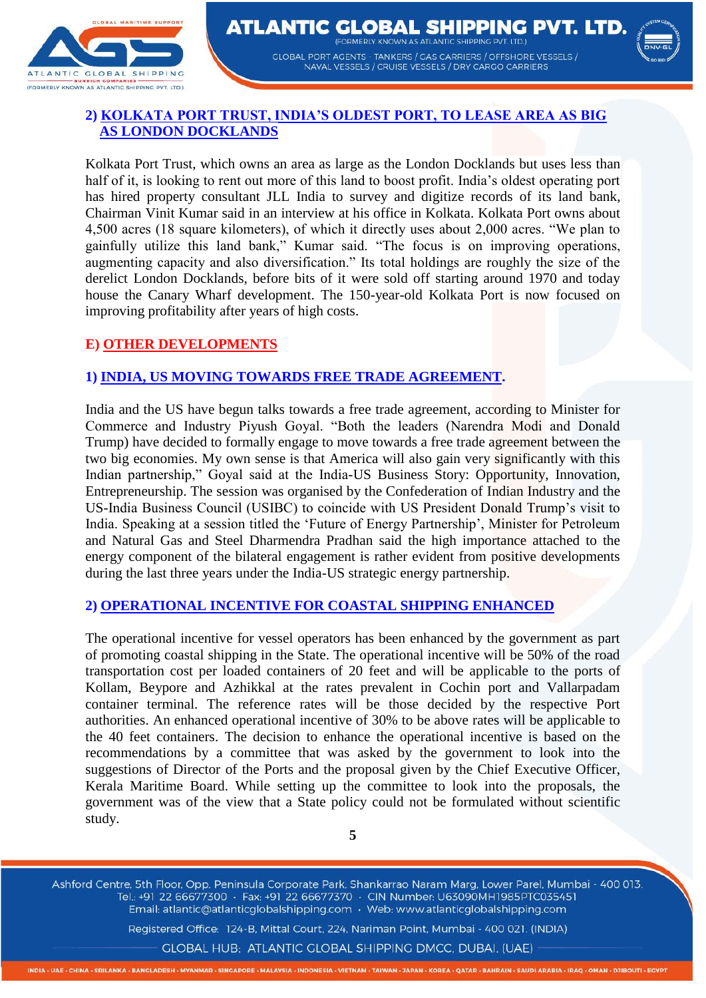



## **2) KOLKATA PORT TRUST, INDIA'S OLDEST PORT, TO LEASE AREA AS BIG AS LONDON DOCKLANDS**

Kolkata Port Trust, which owns an area as large as the London Docklands but uses less than half of it, is looking to rent out more of this land to boost profit. India's oldest operating port has hired property consultant JLL India to survey and digitize records of its land bank, Chairman Vinit Kumar said in an interview at his office in Kolkata. Kolkata Port owns about 4,500 acres (18 square kilometers), of which it directly uses about 2,000 acres. "We plan to gainfully utilize this land bank," Kumar said. "The focus is on improving operations, augmenting capacity and also diversification." Its total holdings are roughly the size of the derelict London Docklands, before bits of it were sold off starting around 1970 and today house the Canary Wharf development. The 150-year-old Kolkata Port is now focused on improving profitability after years of high costs.

## **E) OTHER DEVELOPMENTS**

#### **1) INDIA, US MOVING TOWARDS FREE TRADE AGREEMENT.**

India and the US have begun talks towards a free trade agreement, according to Minister for Commerce and Industry Piyush Goyal. "Both the leaders (Narendra Modi and Donald Trump) have decided to formally engage to move towards a free trade agreement between the two big economies. My own sense is that America will also gain very significantly with this Indian partnership," Goyal said at the India-US Business Story: Opportunity, Innovation, Entrepreneurship. The session was organised by the Confederation of Indian Industry and the US-India Business Council (USIBC) to coincide with US President Donald Trump's visit to India. Speaking at a session titled the 'Future of Energy Partnership', Minister for Petroleum and Natural Gas and Steel Dharmendra Pradhan said the high importance attached to the energy component of the bilateral engagement is rather evident from positive developments during the last three years under the India-US strategic energy partnership.

#### **2) OPERATIONAL INCENTIVE FOR COASTAL SHIPPING ENHANCED**

The operational incentive for vessel operators has been enhanced by the government as part of promoting coastal shipping in the State. The operational incentive will be 50% of the road transportation cost per loaded containers of 20 feet and will be applicable to the ports of Kollam, Beypore and Azhikkal at the rates prevalent in Cochin port and Vallarpadam container terminal. The reference rates will be those decided by the respective Port authorities. An enhanced operational incentive of 30% to be above rates will be applicable to the 40 feet containers. The decision to enhance the operational incentive is based on the recommendations by a committee that was asked by the government to look into the suggestions of Director of the Ports and the proposal given by the Chief Executive Officer, Kerala Maritime Board. While setting up the committee to look into the proposals, the government was of the view that a State policy could not be formulated without scientific study.

**5**

Ashford Centre, 5th Floor, Opp. Peninsula Corporate Park, Shankarrao Naram Marg, Lower Parel, Mumbai - 400 013. Tel.: +91 22 66677300 · Fax: +91 22 66677370 · CIN Number: U63090MH1985PTC035451 Email: atlantic@atlanticglobalshipping.com · Web: www.atlanticglobalshipping.com

Registered Office: 124-B, Mittal Court, 224, Nariman Point, Mumbai - 400 021. (INDIA)